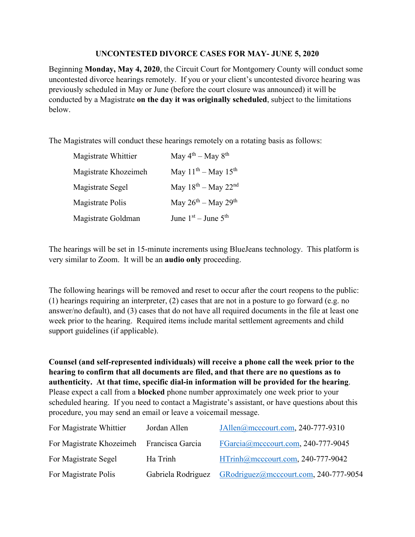## **UNCONTESTED DIVORCE CASES FOR MAY- JUNE 5, 2020**

Beginning **Monday, May 4, 2020**, the Circuit Court for Montgomery County will conduct some uncontested divorce hearings remotely. If you or your client's uncontested divorce hearing was previously scheduled in May or June (before the court closure was announced) it will be conducted by a Magistrate **on the day it was originally scheduled**, subject to the limitations below.

The Magistrates will conduct these hearings remotely on a rotating basis as follows:

| Magistrate Whittier     | May $4^{th}$ – May $8^{th}$   |
|-------------------------|-------------------------------|
| Magistrate Khozeimeh    | May $11^{th}$ – May $15^{th}$ |
| Magistrate Segel        | May $18^{th}$ – May $22^{nd}$ |
| <b>Magistrate Polis</b> | May $26^{th}$ – May $29^{th}$ |
| Magistrate Goldman      | June $1st$ – June $5th$       |

The hearings will be set in 15-minute increments using BlueJeans technology. This platform is very similar to Zoom. It will be an **audio only** proceeding.

The following hearings will be removed and reset to occur after the court reopens to the public: (1) hearings requiring an interpreter, (2) cases that are not in a posture to go forward (e.g. no answer/no default), and (3) cases that do not have all required documents in the file at least one week prior to the hearing. Required items include marital settlement agreements and child support guidelines (if applicable).

**Counsel (and self-represented individuals) will receive a phone call the week prior to the hearing to confirm that all documents are filed, and that there are no questions as to authenticity. At that time, specific dial-in information will be provided for the hearing**. Please expect a call from a **blocked** phone number approximately one week prior to your scheduled hearing. If you need to contact a Magistrate's assistant, or have questions about this procedure, you may send an email or leave a voicemail message.

| For Magistrate Whittier                   | Jordan Allen       | JAllen@mcccourt.com, 240-777-9310     |
|-------------------------------------------|--------------------|---------------------------------------|
| For Magistrate Khozeimeh Francisca Garcia |                    | FGarcia@mcccourt.com, 240-777-9045    |
| For Magistrate Segel                      | Ha Trinh           | HTrinh@mcccourt.com, 240-777-9042     |
| For Magistrate Polis                      | Gabriela Rodriguez | GRodriguez@mcccourt.com, 240-777-9054 |